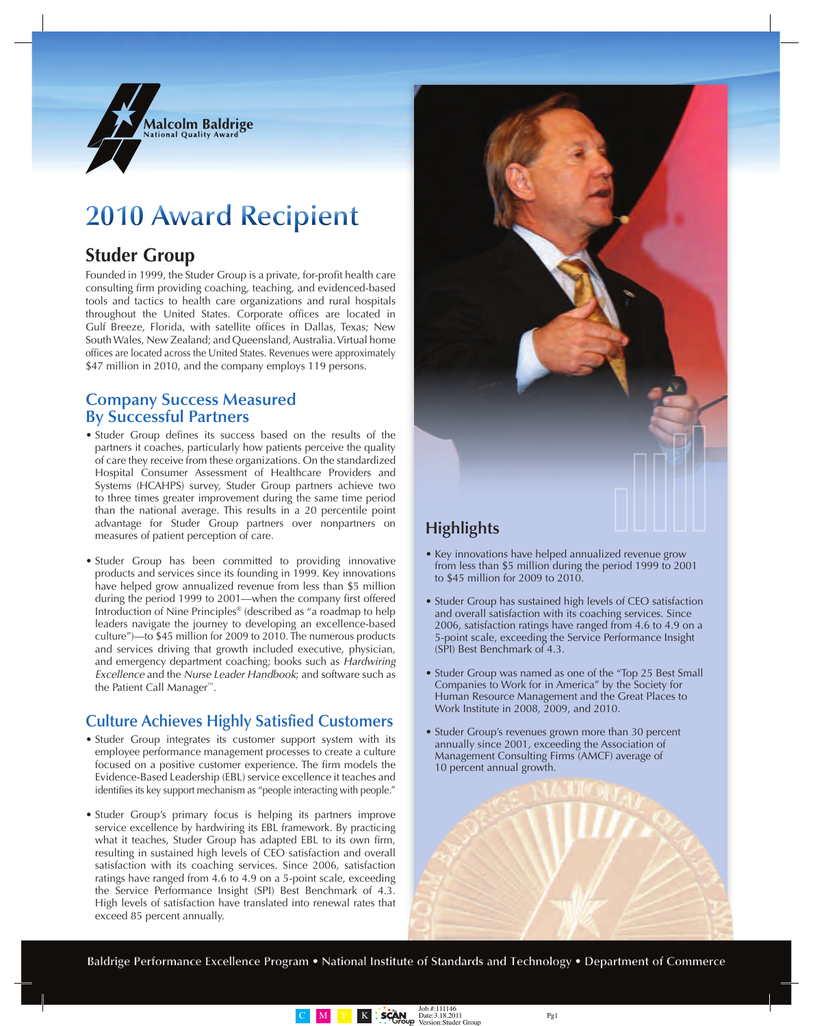

# **2010 Award Recipient**

## **Studer Group**

Founded in 1999, the Studer Group is a private, for-profit health care consulting firm providing coaching, teaching, and evidenced-based tools and tactics to health care organizations and rural hospitals throughout the United States. Corporate offices are located in Gulf Breeze, Florida, with satellite offices in Dallas, Texas; New South Wales, New Zealand; and Queensland, Australia. Virtual home offices are located across the United States. Revenues were approximately \$47 million in 2010, and the company employs 119 persons.

### **Company Success Measured By Successful Partners**

- Studer Group defines its success based on the results of the partners it coaches, particularly how patients perceive the quality of care they receive from these organizations. On the standardized Hospital Consumer Assessment of Healthcare Providers and Systems (HCAHPS) survey, Studer Group partners achieve two to three times greater improvement during the same time period than the national average. This results in a 20 percentile point advantage for Studer Group partners over nonpartners on measures of patient perception of care.
- Studer Group has been committed to providing innovative products and services since its founding in 1999. Key innovations have helped grow annualized revenue from less than \$5 million during the period 1999 to 2001—when the company first offered Introduction of Nine Principles® (described as "a roadmap to help leaders navigate the journey to developing an excellence-based culture")—to \$45 million for 2009 to 2010. The numerous products and services driving that growth included executive, physician, and emergency department coaching; books such as *Hardwiring Excellence* and the *Nurse Leader Handbook*; and software such as the Patient Call Manager™.

### **Culture Achieves Highly Satisfied Customers**

- Studer Group integrates its customer support system with its employee performance management processes to create a culture focused on a positive customer experience. The firm models the Evidence-Based Leadership (EBL) service excellence it teaches and identifies its key support mechanism as "people interacting with people."
- Studer Group's primary focus is helping its partners improve service excellence by hardwiring its EBL framework. By practicing what it teaches, Studer Group has adapted EBL to its own firm, resulting in sustained high levels of CEO satisfaction and overall satisfaction with its coaching services. Since 2006, satisfaction ratings have ranged from 4.6 to 4.9 on a 5-point scale, exceeding the Service Performance Insight (SPI) Best Benchmark of 4.3. High levels of satisfaction have translated into renewal rates that exceed 85 percent annually.



- Key innovations have helped annualized revenue grow from less than \$5 million during the period 1999 to 2001 to \$45 million for 2009 to 2010.
- Studer Group has sustained high levels of CEO satisfaction and overall satisfaction with its coaching services. Since 2006, satisfaction ratings have ranged from 4.6 to 4.9 on a 5-point scale, exceeding the Service Performance Insight (SPI) Best Benchmark of 4.3.
- Studer Group was named as one of the "Top 25 Best Small" Companies to Work for in America" by the Society for Human Resource Management and the Great Places to Work Institute in 2008, 2009, and 2010.
- Studer Group's revenues grown more than 30 percent annually since 2001, exceeding the Association of Management Consulting Firms (AMCF) average of 10 percent annual growth.